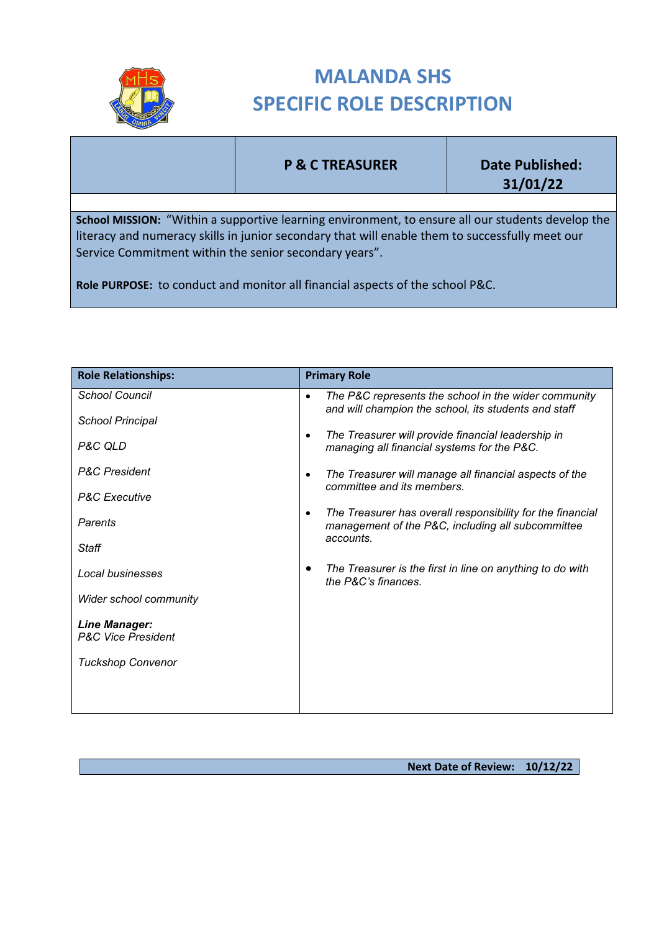

## **MALANDA SHS SPECIFIC ROLE DESCRIPTION**

## **P & C TREASURER Date Published:**

**31/01/22**

**School MISSION:** "Within a supportive learning environment, to ensure all our students develop the literacy and numeracy skills in junior secondary that will enable them to successfully meet our Service Commitment within the senior secondary years".

**Role PURPOSE:** to conduct and monitor all financial aspects of the school P&C.

| <b>Role Relationships:</b>                            | <b>Primary Role</b>                                                                                                                       |
|-------------------------------------------------------|-------------------------------------------------------------------------------------------------------------------------------------------|
| <b>School Council</b>                                 | The P&C represents the school in the wider community<br>$\bullet$<br>and will champion the school, its students and staff                 |
| <b>School Principal</b>                               | The Treasurer will provide financial leadership in<br>$\bullet$                                                                           |
| P&C QLD                                               | managing all financial systems for the P&C.                                                                                               |
| <b>P&amp;C</b> President                              | The Treasurer will manage all financial aspects of the<br>$\bullet$<br>committee and its members.                                         |
| <b>P&amp;C</b> Executive                              |                                                                                                                                           |
| Parents                                               | The Treasurer has overall responsibility for the financial<br>$\bullet$<br>management of the P&C, including all subcommittee<br>accounts. |
| Staff                                                 |                                                                                                                                           |
| Local businesses                                      | The Treasurer is the first in line on anything to do with<br>the P&C's finances.                                                          |
| <b>Wider school community</b>                         |                                                                                                                                           |
| <b>Line Manager:</b><br><b>P&amp;C Vice President</b> |                                                                                                                                           |
|                                                       |                                                                                                                                           |
| <b>Tuckshop Convenor</b>                              |                                                                                                                                           |
|                                                       |                                                                                                                                           |
|                                                       |                                                                                                                                           |